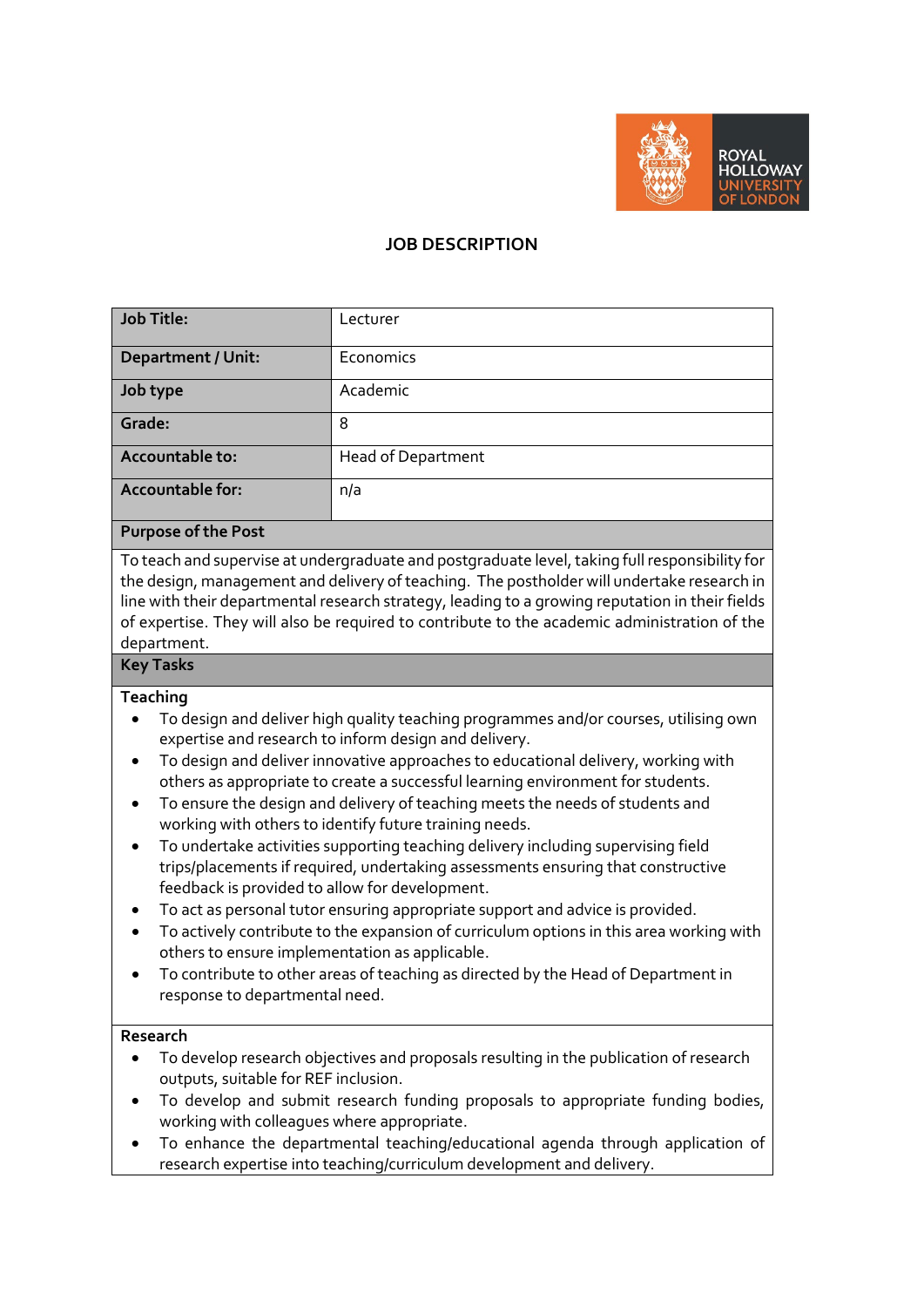

# **JOB DESCRIPTION**

| <b>Job Title:</b>         | Lecturer                  |
|---------------------------|---------------------------|
| <b>Department / Unit:</b> | Economics                 |
| Job type                  | Academic                  |
| Grade:                    | 8                         |
| Accountable to:           | <b>Head of Department</b> |
| Accountable for:          | n/a                       |

#### **Purpose of the Post**

To teach and supervise at undergraduate and postgraduate level, taking full responsibility for the design, management and delivery of teaching. The postholder will undertake research in line with their departmental research strategy, leading to a growing reputation in their fields of expertise. They will also be required to contribute to the academic administration of the department.

# **Key Tasks**

#### **Teaching**

- To design and deliver high quality teaching programmes and/or courses, utilising own expertise and research to inform design and delivery.
- To design and deliver innovative approaches to educational delivery, working with others as appropriate to create a successful learning environment for students.
- To ensure the design and delivery of teaching meets the needs of students and working with others to identify future training needs.
- To undertake activities supporting teaching delivery including supervising field trips/placements if required, undertaking assessments ensuring that constructive feedback is provided to allow for development.
- To act as personal tutor ensuring appropriate support and advice is provided.
- To actively contribute to the expansion of curriculum options in this area working with others to ensure implementation as applicable.
- To contribute to other areas of teaching as directed by the Head of Department in response to departmental need.

#### **Research**

- To develop research objectives and proposals resulting in the publication of research outputs, suitable for REF inclusion.
- To develop and submit research funding proposals to appropriate funding bodies, working with colleagues where appropriate.
- To enhance the departmental teaching/educational agenda through application of research expertise into teaching/curriculum development and delivery.